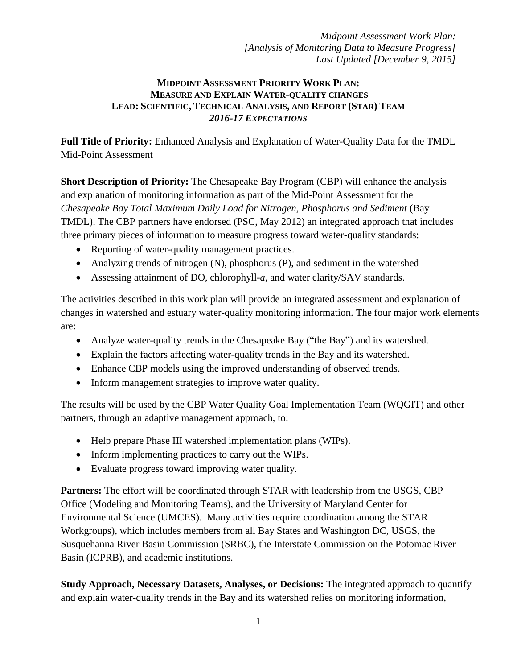#### **MIDPOINT ASSESSMENT PRIORITY WORK PLAN: MEASURE AND EXPLAIN WATER-QUALITY CHANGES LEAD: SCIENTIFIC, TECHNICAL ANALYSIS, AND REPORT (STAR) TEAM** *2016-17 EXPECTATIONS*

**Full Title of Priority:** Enhanced Analysis and Explanation of Water-Quality Data for the TMDL Mid-Point Assessment

**Short Description of Priority:** The Chesapeake Bay Program (CBP) will enhance the analysis and explanation of monitoring information as part of the Mid-Point Assessment for the *Chesapeake Bay Total Maximum Daily Load for Nitrogen, Phosphorus and Sediment* (Bay TMDL). The CBP partners have endorsed (PSC, May 2012) an integrated approach that includes three primary pieces of information to measure progress toward water-quality standards:

- Reporting of water-quality management practices.
- Analyzing trends of nitrogen (N), phosphorus (P), and sediment in the watershed
- Assessing attainment of DO, chlorophyll-*a*, and water clarity/SAV standards.

The activities described in this work plan will provide an integrated assessment and explanation of changes in watershed and estuary water-quality monitoring information. The four major work elements are:

- Analyze water-quality trends in the Chesapeake Bay ("the Bay") and its watershed.
- Explain the factors affecting water-quality trends in the Bay and its watershed.
- Enhance CBP models using the improved understanding of observed trends.
- Inform management strategies to improve water quality.

The results will be used by the CBP Water Quality Goal Implementation Team (WQGIT) and other partners, through an adaptive management approach, to:

- Help prepare Phase III watershed implementation plans (WIPs).
- Inform implementing practices to carry out the WIPs.
- Evaluate progress toward improving water quality.

**Partners:** The effort will be coordinated through STAR with leadership from the USGS, CBP Office (Modeling and Monitoring Teams), and the University of Maryland Center for Environmental Science (UMCES). Many activities require coordination among the STAR Workgroups), which includes members from all Bay States and Washington DC, USGS, the Susquehanna River Basin Commission (SRBC), the Interstate Commission on the Potomac River Basin (ICPRB), and academic institutions.

**Study Approach, Necessary Datasets, Analyses, or Decisions:** The integrated approach to quantify and explain water-quality trends in the Bay and its watershed relies on monitoring information,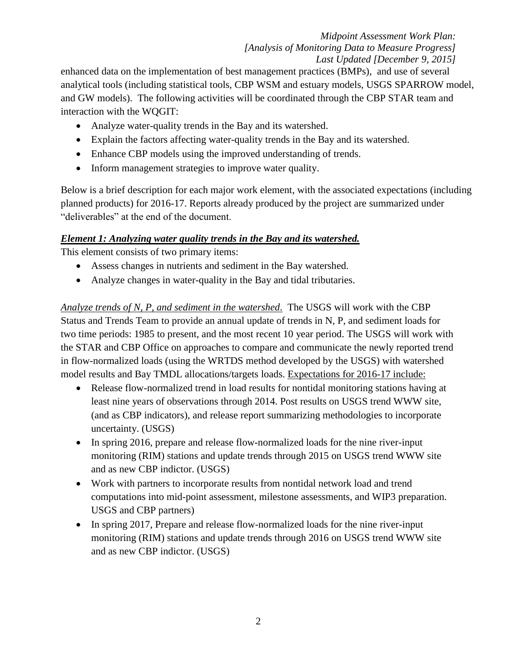enhanced data on the implementation of best management practices (BMPs), and use of several analytical tools (including statistical tools, CBP WSM and estuary models, USGS SPARROW model, and GW models). The following activities will be coordinated through the CBP STAR team and interaction with the WQGIT:

- Analyze water-quality trends in the Bay and its watershed.
- Explain the factors affecting water-quality trends in the Bay and its watershed.
- Enhance CBP models using the improved understanding of trends.
- Inform management strategies to improve water quality.

Below is a brief description for each major work element, with the associated expectations (including planned products) for 2016-17. Reports already produced by the project are summarized under "deliverables" at the end of the document.

## *Element 1: Analyzing water quality trends in the Bay and its watershed.*

This element consists of two primary items:

- Assess changes in nutrients and sediment in the Bay watershed.
- Analyze changes in water-quality in the Bay and tidal tributaries.

*Analyze trends of N, P, and sediment in the watershed*. The USGS will work with the CBP Status and Trends Team to provide an annual update of trends in N, P, and sediment loads for two time periods: 1985 to present, and the most recent 10 year period. The USGS will work with the STAR and CBP Office on approaches to compare and communicate the newly reported trend in flow-normalized loads (using the WRTDS method developed by the USGS) with watershed model results and Bay TMDL allocations/targets loads. Expectations for 2016-17 include:

- Release flow-normalized trend in load results for nontidal monitoring stations having at least nine years of observations through 2014. Post results on USGS trend WWW site, (and as CBP indicators), and release report summarizing methodologies to incorporate uncertainty. (USGS)
- In spring 2016, prepare and release flow-normalized loads for the nine river-input monitoring (RIM) stations and update trends through 2015 on USGS trend WWW site and as new CBP indictor. (USGS)
- Work with partners to incorporate results from nontidal network load and trend computations into mid-point assessment, milestone assessments, and WIP3 preparation. USGS and CBP partners)
- In spring 2017, Prepare and release flow-normalized loads for the nine river-input monitoring (RIM) stations and update trends through 2016 on USGS trend WWW site and as new CBP indictor. (USGS)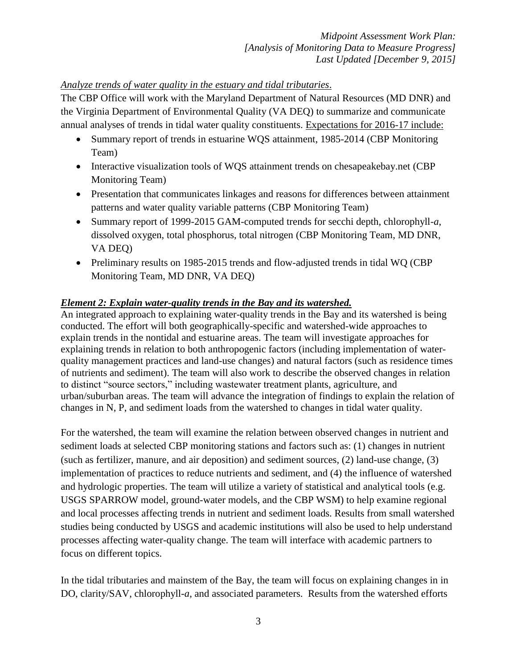### *Analyze trends of water quality in the estuary and tidal tributaries*.

The CBP Office will work with the Maryland Department of Natural Resources (MD DNR) and the Virginia Department of Environmental Quality (VA DEQ) to summarize and communicate annual analyses of trends in tidal water quality constituents. Expectations for 2016-17 include:

- Summary report of trends in estuarine WQS attainment, 1985-2014 (CBP Monitoring Team)
- Interactive visualization tools of WQS attainment trends on chesapeakebay.net (CBP Monitoring Team)
- Presentation that communicates linkages and reasons for differences between attainment patterns and water quality variable patterns (CBP Monitoring Team)
- Summary report of 1999-2015 GAM-computed trends for secchi depth, chlorophyll-*a*, dissolved oxygen, total phosphorus, total nitrogen (CBP Monitoring Team, MD DNR, VA DEQ)
- Preliminary results on 1985-2015 trends and flow-adjusted trends in tidal WQ (CBP) Monitoring Team, MD DNR, VA DEQ)

### *Element 2: Explain water-quality trends in the Bay and its watershed.*

An integrated approach to explaining water-quality trends in the Bay and its watershed is being conducted. The effort will both geographically-specific and watershed-wide approaches to explain trends in the nontidal and estuarine areas. The team will investigate approaches for explaining trends in relation to both anthropogenic factors (including implementation of waterquality management practices and land-use changes) and natural factors (such as residence times of nutrients and sediment). The team will also work to describe the observed changes in relation to distinct "source sectors," including wastewater treatment plants, agriculture, and urban/suburban areas. The team will advance the integration of findings to explain the relation of changes in N, P, and sediment loads from the watershed to changes in tidal water quality.

For the watershed, the team will examine the relation between observed changes in nutrient and sediment loads at selected CBP monitoring stations and factors such as: (1) changes in nutrient (such as fertilizer, manure, and air deposition) and sediment sources, (2) land-use change, (3) implementation of practices to reduce nutrients and sediment, and (4) the influence of watershed and hydrologic properties. The team will utilize a variety of statistical and analytical tools (e.g. USGS SPARROW model, ground-water models, and the CBP WSM) to help examine regional and local processes affecting trends in nutrient and sediment loads. Results from small watershed studies being conducted by USGS and academic institutions will also be used to help understand processes affecting water-quality change. The team will interface with academic partners to focus on different topics.

In the tidal tributaries and mainstem of the Bay, the team will focus on explaining changes in in DO, clarity/SAV, chlorophyll-*a*, and associated parameters. Results from the watershed efforts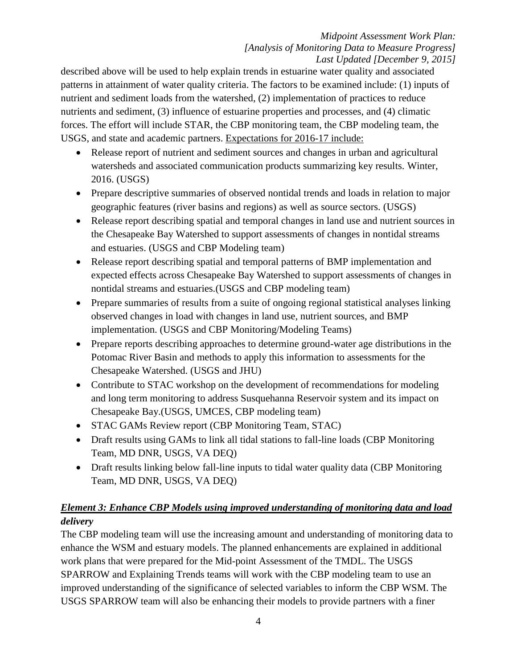described above will be used to help explain trends in estuarine water quality and associated patterns in attainment of water quality criteria. The factors to be examined include: (1) inputs of nutrient and sediment loads from the watershed, (2) implementation of practices to reduce nutrients and sediment, (3) influence of estuarine properties and processes, and (4) climatic forces. The effort will include STAR, the CBP monitoring team, the CBP modeling team, the USGS, and state and academic partners. Expectations for 2016-17 include:

- Release report of nutrient and sediment sources and changes in urban and agricultural watersheds and associated communication products summarizing key results. Winter, 2016. (USGS)
- Prepare descriptive summaries of observed nontidal trends and loads in relation to major geographic features (river basins and regions) as well as source sectors. (USGS)
- Release report describing spatial and temporal changes in land use and nutrient sources in the Chesapeake Bay Watershed to support assessments of changes in nontidal streams and estuaries. (USGS and CBP Modeling team)
- Release report describing spatial and temporal patterns of BMP implementation and expected effects across Chesapeake Bay Watershed to support assessments of changes in nontidal streams and estuaries.(USGS and CBP modeling team)
- Prepare summaries of results from a suite of ongoing regional statistical analyses linking observed changes in load with changes in land use, nutrient sources, and BMP implementation. (USGS and CBP Monitoring/Modeling Teams)
- Prepare reports describing approaches to determine ground-water age distributions in the Potomac River Basin and methods to apply this information to assessments for the Chesapeake Watershed. (USGS and JHU)
- Contribute to STAC workshop on the development of recommendations for modeling and long term monitoring to address Susquehanna Reservoir system and its impact on Chesapeake Bay.(USGS, UMCES, CBP modeling team)
- STAC GAMs Review report (CBP Monitoring Team, STAC)
- Draft results using GAMs to link all tidal stations to fall-line loads (CBP Monitoring Team, MD DNR, USGS, VA DEQ)
- Draft results linking below fall-line inputs to tidal water quality data (CBP Monitoring Team, MD DNR, USGS, VA DEQ)

# *Element 3: Enhance CBP Models using improved understanding of monitoring data and load delivery*

The CBP modeling team will use the increasing amount and understanding of monitoring data to enhance the WSM and estuary models. The planned enhancements are explained in additional work plans that were prepared for the Mid-point Assessment of the TMDL. The USGS SPARROW and Explaining Trends teams will work with the CBP modeling team to use an improved understanding of the significance of selected variables to inform the CBP WSM. The USGS SPARROW team will also be enhancing their models to provide partners with a finer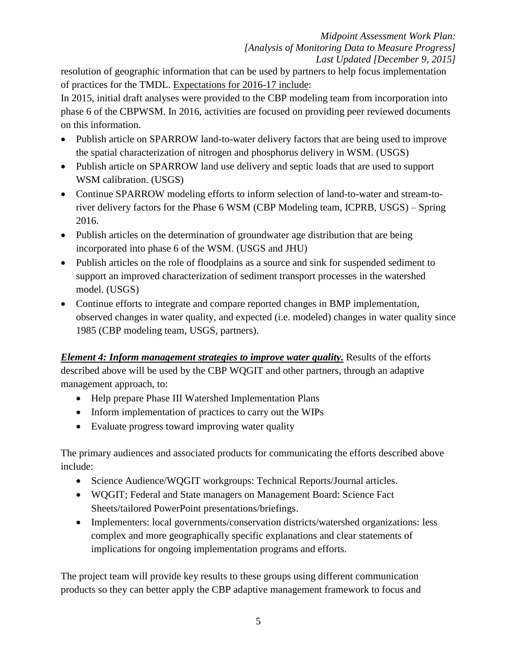resolution of geographic information that can be used by partners to help focus implementation of practices for the TMDL. Expectations for 2016-17 include:

In 2015, initial draft analyses were provided to the CBP modeling team from incorporation into phase 6 of the CBPWSM. In 2016, activities are focused on providing peer reviewed documents on this information.

- Publish article on SPARROW land-to-water delivery factors that are being used to improve the spatial characterization of nitrogen and phosphorus delivery in WSM. (USGS)
- Publish article on SPARROW land use delivery and septic loads that are used to support WSM calibration. (USGS)
- Continue SPARROW modeling efforts to inform selection of land-to-water and stream-toriver delivery factors for the Phase 6 WSM (CBP Modeling team, ICPRB, USGS) – Spring 2016.
- Publish articles on the determination of groundwater age distribution that are being incorporated into phase 6 of the WSM. (USGS and JHU)
- Publish articles on the role of floodplains as a source and sink for suspended sediment to support an improved characterization of sediment transport processes in the watershed model. (USGS)
- Continue efforts to integrate and compare reported changes in BMP implementation, observed changes in water quality, and expected (i.e. modeled) changes in water quality since 1985 (CBP modeling team, USGS, partners).

*Element 4: Inform management strategies to improve water quality.* Results of the efforts described above will be used by the CBP WQGIT and other partners, through an adaptive management approach, to:

- Help prepare Phase III Watershed Implementation Plans
- Inform implementation of practices to carry out the WIPs
- Evaluate progress toward improving water quality

The primary audiences and associated products for communicating the efforts described above include:

- Science Audience/WQGIT workgroups: Technical Reports/Journal articles.
- WQGIT; Federal and State managers on Management Board: Science Fact Sheets/tailored PowerPoint presentations/briefings.
- Implementers: local governments/conservation districts/watershed organizations: less complex and more geographically specific explanations and clear statements of implications for ongoing implementation programs and efforts.

The project team will provide key results to these groups using different communication products so they can better apply the CBP adaptive management framework to focus and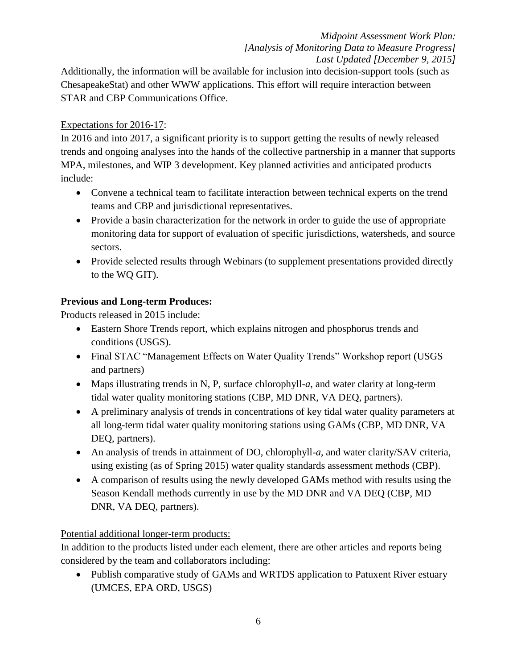Additionally, the information will be available for inclusion into decision-support tools (such as ChesapeakeStat) and other WWW applications. This effort will require interaction between STAR and CBP Communications Office.

## Expectations for 2016-17:

In 2016 and into 2017, a significant priority is to support getting the results of newly released trends and ongoing analyses into the hands of the collective partnership in a manner that supports MPA, milestones, and WIP 3 development. Key planned activities and anticipated products include:

- Convene a technical team to facilitate interaction between technical experts on the trend teams and CBP and jurisdictional representatives.
- Provide a basin characterization for the network in order to guide the use of appropriate monitoring data for support of evaluation of specific jurisdictions, watersheds, and source sectors.
- Provide selected results through Webinars (to supplement presentations provided directly to the WQ GIT).

# **Previous and Long-term Produces:**

Products released in 2015 include:

- Eastern Shore Trends report, which explains nitrogen and phosphorus trends and conditions (USGS).
- Final STAC "Management Effects on Water Quality Trends" Workshop report (USGS and partners)
- Maps illustrating trends in N, P, surface chlorophyll-*a*, and water clarity at long-term tidal water quality monitoring stations (CBP, MD DNR, VA DEQ, partners).
- A preliminary analysis of trends in concentrations of key tidal water quality parameters at all long-term tidal water quality monitoring stations using GAMs (CBP, MD DNR, VA DEQ, partners).
- An analysis of trends in attainment of DO, chlorophyll-*a*, and water clarity/SAV criteria, using existing (as of Spring 2015) water quality standards assessment methods (CBP).
- A comparison of results using the newly developed GAMs method with results using the Season Kendall methods currently in use by the MD DNR and VA DEQ (CBP, MD DNR, VA DEQ, partners).

# Potential additional longer-term products:

In addition to the products listed under each element, there are other articles and reports being considered by the team and collaborators including:

• Publish comparative study of GAMs and WRTDS application to Patuxent River estuary (UMCES, EPA ORD, USGS)